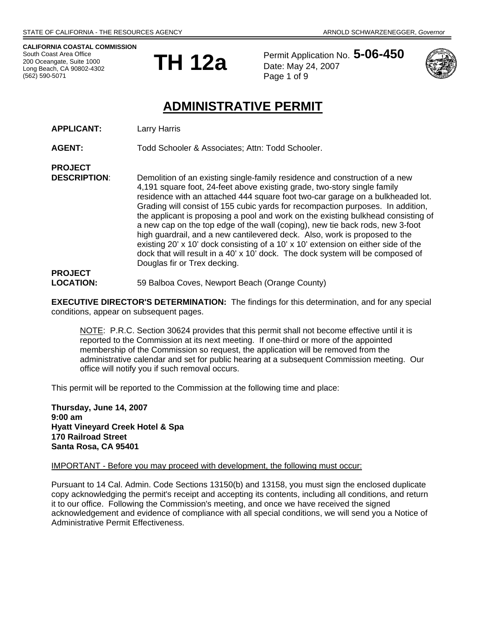**CALIFORNIA COASTAL COMMISSION**  South Coast Area Office 200 Oceangate, Suite 1000 Long Beach, CA 90802-4302 (562) 590-5071

**PROJECT** 



Permit Application No. **5-06-450** Date: May 24, 2007 Page 1 of 9



# **ADMINISTRATIVE PERMIT**

**APPLICANT:** Larry Harris

AGENT: Todd Schooler & Associates; Attn: Todd Schooler.

**DESCRIPTION**: Demolition of an existing single-family residence and construction of a new 4,191 square foot, 24-feet above existing grade, two-story single family residence with an attached 444 square foot two-car garage on a bulkheaded lot. Grading will consist of 155 cubic yards for recompaction purposes. In addition, the applicant is proposing a pool and work on the existing bulkhead consisting of a new cap on the top edge of the wall (coping), new tie back rods, new 3-foot high guardrail, and a new cantilevered deck. Also, work is proposed to the existing 20' x 10' dock consisting of a 10' x 10' extension on either side of the dock that will result in a 40' x 10' dock. The dock system will be composed of Douglas fir or Trex decking. **PROJECT** 

**LOCATION:** 59 Balboa Coves, Newport Beach (Orange County)

**EXECUTIVE DIRECTOR'S DETERMINATION:** The findings for this determination, and for any special conditions, appear on subsequent pages.

NOTE: P.R.C. Section 30624 provides that this permit shall not become effective until it is reported to the Commission at its next meeting. If one-third or more of the appointed membership of the Commission so request, the application will be removed from the administrative calendar and set for public hearing at a subsequent Commission meeting. Our office will notify you if such removal occurs.

This permit will be reported to the Commission at the following time and place:

**Thursday, June 14, 2007 9:00 am Hyatt Vineyard Creek Hotel & Spa 170 Railroad Street Santa Rosa, CA 95401** 

#### IMPORTANT - Before you may proceed with development, the following must occur:

Pursuant to 14 Cal. Admin. Code Sections 13150(b) and 13158, you must sign the enclosed duplicate copy acknowledging the permit's receipt and accepting its contents, including all conditions, and return it to our office. Following the Commission's meeting, and once we have received the signed acknowledgement and evidence of compliance with all special conditions, we will send you a Notice of Administrative Permit Effectiveness.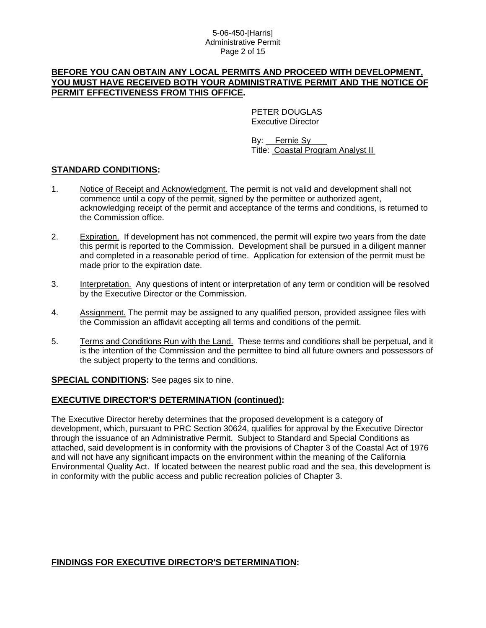#### 5-06-450-[Harris] Administrative Permit Page 2 of 15

## **BEFORE YOU CAN OBTAIN ANY LOCAL PERMITS AND PROCEED WITH DEVELOPMENT, YOU MUST HAVE RECEIVED BOTH YOUR ADMINISTRATIVE PERMIT AND THE NOTICE OF PERMIT EFFECTIVENESS FROM THIS OFFICE.**

 PETER DOUGLAS Executive Director

 By: Fernie Sy Title: Coastal Program Analyst II

## **STANDARD CONDITIONS:**

- 1. Notice of Receipt and Acknowledgment. The permit is not valid and development shall not commence until a copy of the permit, signed by the permittee or authorized agent, acknowledging receipt of the permit and acceptance of the terms and conditions, is returned to the Commission office.
- 2. Expiration. If development has not commenced, the permit will expire two years from the date this permit is reported to the Commission. Development shall be pursued in a diligent manner and completed in a reasonable period of time. Application for extension of the permit must be made prior to the expiration date.
- 3. Interpretation. Any questions of intent or interpretation of any term or condition will be resolved by the Executive Director or the Commission.
- 4. Assignment. The permit may be assigned to any qualified person, provided assignee files with the Commission an affidavit accepting all terms and conditions of the permit.
- 5. Terms and Conditions Run with the Land. These terms and conditions shall be perpetual, and it is the intention of the Commission and the permittee to bind all future owners and possessors of the subject property to the terms and conditions.

**SPECIAL CONDITIONS:** See pages six to nine.

## **EXECUTIVE DIRECTOR'S DETERMINATION (continued):**

The Executive Director hereby determines that the proposed development is a category of development, which, pursuant to PRC Section 30624, qualifies for approval by the Executive Director through the issuance of an Administrative Permit. Subject to Standard and Special Conditions as attached, said development is in conformity with the provisions of Chapter 3 of the Coastal Act of 1976 and will not have any significant impacts on the environment within the meaning of the California Environmental Quality Act. If located between the nearest public road and the sea, this development is in conformity with the public access and public recreation policies of Chapter 3.

## **FINDINGS FOR EXECUTIVE DIRECTOR'S DETERMINATION:**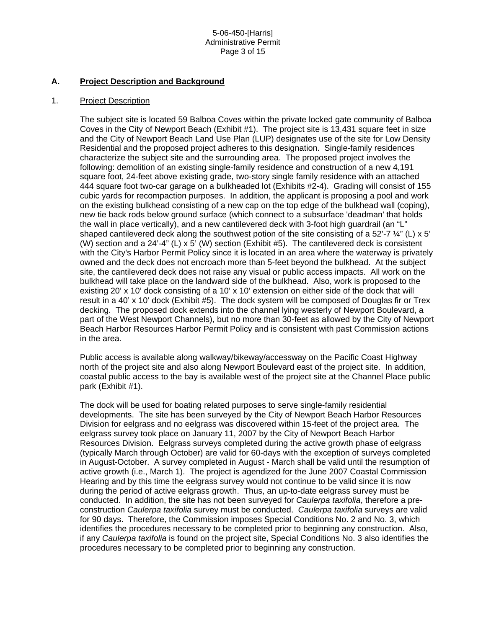#### **A. Project Description and Background**

#### 1. Project Description

The subject site is located 59 Balboa Coves within the private locked gate community of Balboa Coves in the City of Newport Beach (Exhibit #1). The project site is 13,431 square feet in size and the City of Newport Beach Land Use Plan (LUP) designates use of the site for Low Density Residential and the proposed project adheres to this designation. Single-family residences characterize the subject site and the surrounding area. The proposed project involves the following: demolition of an existing single-family residence and construction of a new 4,191 square foot, 24-feet above existing grade, two-story single family residence with an attached 444 square foot two-car garage on a bulkheaded lot (Exhibits #2-4). Grading will consist of 155 cubic yards for recompaction purposes. In addition, the applicant is proposing a pool and work on the existing bulkhead consisting of a new cap on the top edge of the bulkhead wall (coping), new tie back rods below ground surface (which connect to a subsurface 'deadman' that holds the wall in place vertically), and a new cantilevered deck with 3-foot high guardrail (an "L" shaped cantilevered deck along the southwest potion of the site consisting of a 52'-7  $\frac{1}{4}$ " (L) x 5' (W) section and a 24'-4" (L) x 5' (W) section (Exhibit  $#5$ ). The cantilevered deck is consistent with the City's Harbor Permit Policy since it is located in an area where the waterway is privately owned and the deck does not encroach more than 5-feet beyond the bulkhead. At the subject site, the cantilevered deck does not raise any visual or public access impacts. All work on the bulkhead will take place on the landward side of the bulkhead. Also, work is proposed to the existing 20' x 10' dock consisting of a 10' x 10' extension on either side of the dock that will result in a 40' x 10' dock (Exhibit #5). The dock system will be composed of Douglas fir or Trex decking. The proposed dock extends into the channel lying westerly of Newport Boulevard, a part of the West Newport Channels), but no more than 30-feet as allowed by the City of Newport Beach Harbor Resources Harbor Permit Policy and is consistent with past Commission actions in the area.

Public access is available along walkway/bikeway/accessway on the Pacific Coast Highway north of the project site and also along Newport Boulevard east of the project site. In addition, coastal public access to the bay is available west of the project site at the Channel Place public park (Exhibit #1).

The dock will be used for boating related purposes to serve single-family residential developments. The site has been surveyed by the City of Newport Beach Harbor Resources Division for eelgrass and no eelgrass was discovered within 15-feet of the project area. The eelgrass survey took place on January 11, 2007 by the City of Newport Beach Harbor Resources Division. Eelgrass surveys completed during the active growth phase of eelgrass (typically March through October) are valid for 60-days with the exception of surveys completed in August-October. A survey completed in August - March shall be valid until the resumption of active growth (i.e., March 1). The project is agendized for the June 2007 Coastal Commission Hearing and by this time the eelgrass survey would not continue to be valid since it is now during the period of active eelgrass growth. Thus, an up-to-date eelgrass survey must be conducted. In addition, the site has not been surveyed for *Caulerpa taxifolia*, therefore a preconstruction *Caulerpa taxifolia* survey must be conducted. *Caulerpa taxifolia* surveys are valid for 90 days. Therefore, the Commission imposes Special Conditions No. 2 and No. 3, which identifies the procedures necessary to be completed prior to beginning any construction. Also, if any *Caulerpa taxifolia* is found on the project site, Special Conditions No. 3 also identifies the procedures necessary to be completed prior to beginning any construction.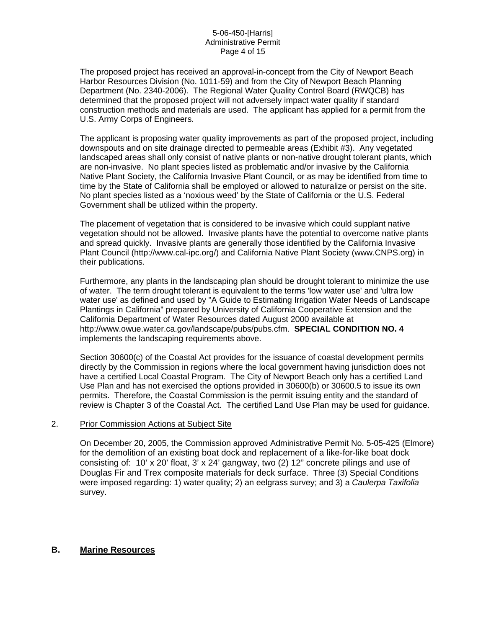The proposed project has received an approval-in-concept from the City of Newport Beach Harbor Resources Division (No. 1011-59) and from the City of Newport Beach Planning Department (No. 2340-2006). The Regional Water Quality Control Board (RWQCB) has determined that the proposed project will not adversely impact water quality if standard construction methods and materials are used. The applicant has applied for a permit from the U.S. Army Corps of Engineers.

The applicant is proposing water quality improvements as part of the proposed project, including downspouts and on site drainage directed to permeable areas (Exhibit #3). Any vegetated landscaped areas shall only consist of native plants or non-native drought tolerant plants, which are non-invasive. No plant species listed as problematic and/or invasive by the California Native Plant Society, the California Invasive Plant Council, or as may be identified from time to time by the State of California shall be employed or allowed to naturalize or persist on the site. No plant species listed as a 'noxious weed' by the State of California or the U.S. Federal Government shall be utilized within the property.

The placement of vegetation that is considered to be invasive which could supplant native vegetation should not be allowed. Invasive plants have the potential to overcome native plants and spread quickly. Invasive plants are generally those identified by the California Invasive Plant Council (http://www.cal-ipc.org/) and California Native Plant Society (www.CNPS.org) in their publications.

Furthermore, any plants in the landscaping plan should be drought tolerant to minimize the use of water. The term drought tolerant is equivalent to the terms 'low water use' and 'ultra low water use' as defined and used by "A Guide to Estimating Irrigation Water Needs of Landscape Plantings in California" prepared by University of California Cooperative Extension and the California Department of Water Resources dated August 2000 available at <http://www.owue.water.ca.gov/landscape/pubs/pubs.cfm>. **SPECIAL CONDITION NO. 4** implements the landscaping requirements above.

Section 30600(c) of the Coastal Act provides for the issuance of coastal development permits directly by the Commission in regions where the local government having jurisdiction does not have a certified Local Coastal Program. The City of Newport Beach only has a certified Land Use Plan and has not exercised the options provided in 30600(b) or 30600.5 to issue its own permits. Therefore, the Coastal Commission is the permit issuing entity and the standard of review is Chapter 3 of the Coastal Act. The certified Land Use Plan may be used for guidance.

#### 2. Prior Commission Actions at Subject Site

On December 20, 2005, the Commission approved Administrative Permit No. 5-05-425 (Elmore) for the demolition of an existing boat dock and replacement of a like-for-like boat dock consisting of: 10' x 20' float, 3' x 24' gangway, two (2) 12" concrete pilings and use of Douglas Fir and Trex composite materials for deck surface. Three (3) Special Conditions were imposed regarding: 1) water quality; 2) an eelgrass survey; and 3) a *Caulerpa Taxifolia*  survey.

## **B. Marine Resources**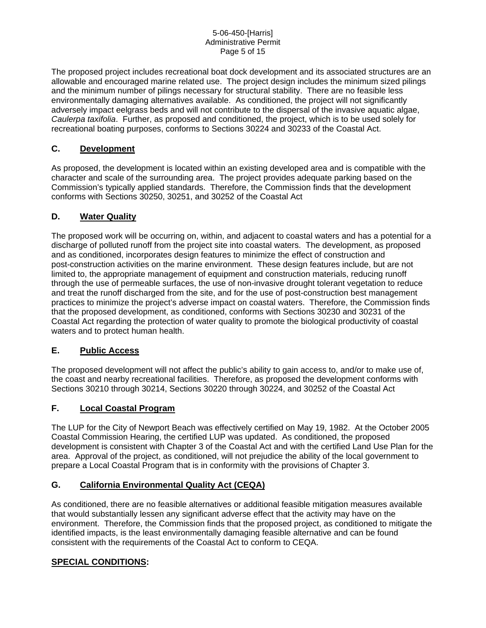The proposed project includes recreational boat dock development and its associated structures are an allowable and encouraged marine related use. The project design includes the minimum sized pilings and the minimum number of pilings necessary for structural stability. There are no feasible less environmentally damaging alternatives available. As conditioned, the project will not significantly adversely impact eelgrass beds and will not contribute to the dispersal of the invasive aquatic algae, *Caulerpa taxifolia*. Further, as proposed and conditioned, the project, which is to be used solely for recreational boating purposes, conforms to Sections 30224 and 30233 of the Coastal Act.

## **C. Development**

As proposed, the development is located within an existing developed area and is compatible with the character and scale of the surrounding area. The project provides adequate parking based on the Commission's typically applied standards. Therefore, the Commission finds that the development conforms with Sections 30250, 30251, and 30252 of the Coastal Act

## **D. Water Quality**

The proposed work will be occurring on, within, and adjacent to coastal waters and has a potential for a discharge of polluted runoff from the project site into coastal waters. The development, as proposed and as conditioned, incorporates design features to minimize the effect of construction and post-construction activities on the marine environment. These design features include, but are not limited to, the appropriate management of equipment and construction materials, reducing runoff through the use of permeable surfaces, the use of non-invasive drought tolerant vegetation to reduce and treat the runoff discharged from the site, and for the use of post-construction best management practices to minimize the project's adverse impact on coastal waters. Therefore, the Commission finds that the proposed development, as conditioned, conforms with Sections 30230 and 30231 of the Coastal Act regarding the protection of water quality to promote the biological productivity of coastal waters and to protect human health.

## **E. Public Access**

The proposed development will not affect the public's ability to gain access to, and/or to make use of, the coast and nearby recreational facilities. Therefore, as proposed the development conforms with Sections 30210 through 30214, Sections 30220 through 30224, and 30252 of the Coastal Act

## **F. Local Coastal Program**

The LUP for the City of Newport Beach was effectively certified on May 19, 1982. At the October 2005 Coastal Commission Hearing, the certified LUP was updated. As conditioned, the proposed development is consistent with Chapter 3 of the Coastal Act and with the certified Land Use Plan for the area. Approval of the project, as conditioned, will not prejudice the ability of the local government to prepare a Local Coastal Program that is in conformity with the provisions of Chapter 3.

## **G. California Environmental Quality Act (CEQA)**

As conditioned, there are no feasible alternatives or additional feasible mitigation measures available that would substantially lessen any significant adverse effect that the activity may have on the environment. Therefore, the Commission finds that the proposed project, as conditioned to mitigate the identified impacts, is the least environmentally damaging feasible alternative and can be found consistent with the requirements of the Coastal Act to conform to CEQA.

## **SPECIAL CONDITIONS:**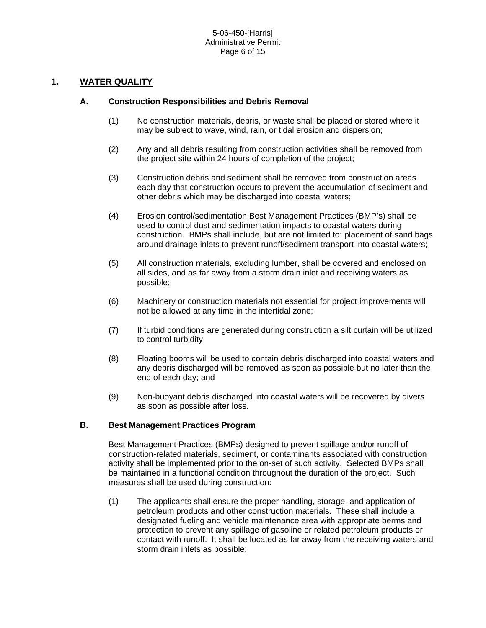## **1. WATER QUALITY**

#### **A. Construction Responsibilities and Debris Removal**

- (1) No construction materials, debris, or waste shall be placed or stored where it may be subject to wave, wind, rain, or tidal erosion and dispersion;
- (2) Any and all debris resulting from construction activities shall be removed from the project site within 24 hours of completion of the project;
- (3) Construction debris and sediment shall be removed from construction areas each day that construction occurs to prevent the accumulation of sediment and other debris which may be discharged into coastal waters;
- (4) Erosion control/sedimentation Best Management Practices (BMP's) shall be used to control dust and sedimentation impacts to coastal waters during construction. BMPs shall include, but are not limited to: placement of sand bags around drainage inlets to prevent runoff/sediment transport into coastal waters;
- (5) All construction materials, excluding lumber, shall be covered and enclosed on all sides, and as far away from a storm drain inlet and receiving waters as possible;
- (6) Machinery or construction materials not essential for project improvements will not be allowed at any time in the intertidal zone;
- (7) If turbid conditions are generated during construction a silt curtain will be utilized to control turbidity;
- (8) Floating booms will be used to contain debris discharged into coastal waters and any debris discharged will be removed as soon as possible but no later than the end of each day; and
- (9) Non-buoyant debris discharged into coastal waters will be recovered by divers as soon as possible after loss.

#### **B. Best Management Practices Program**

Best Management Practices (BMPs) designed to prevent spillage and/or runoff of construction-related materials, sediment, or contaminants associated with construction activity shall be implemented prior to the on-set of such activity. Selected BMPs shall be maintained in a functional condition throughout the duration of the project. Such measures shall be used during construction:

(1) The applicants shall ensure the proper handling, storage, and application of petroleum products and other construction materials. These shall include a designated fueling and vehicle maintenance area with appropriate berms and protection to prevent any spillage of gasoline or related petroleum products or contact with runoff. It shall be located as far away from the receiving waters and storm drain inlets as possible;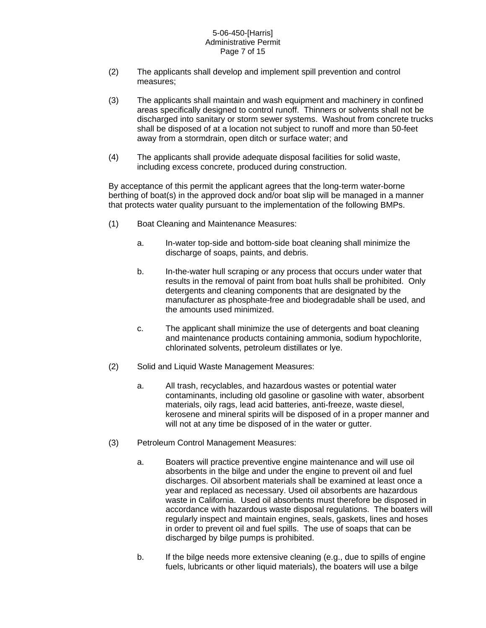#### 5-06-450-[Harris] Administrative Permit Page 7 of 15

- (2) The applicants shall develop and implement spill prevention and control measures;
- (3) The applicants shall maintain and wash equipment and machinery in confined areas specifically designed to control runoff. Thinners or solvents shall not be discharged into sanitary or storm sewer systems. Washout from concrete trucks shall be disposed of at a location not subject to runoff and more than 50-feet away from a stormdrain, open ditch or surface water; and
- (4) The applicants shall provide adequate disposal facilities for solid waste, including excess concrete, produced during construction.

By acceptance of this permit the applicant agrees that the long-term water-borne berthing of boat(s) in the approved dock and/or boat slip will be managed in a manner that protects water quality pursuant to the implementation of the following BMPs.

- (1) Boat Cleaning and Maintenance Measures:
	- a. In-water top-side and bottom-side boat cleaning shall minimize the discharge of soaps, paints, and debris.
	- b. In-the-water hull scraping or any process that occurs under water that results in the removal of paint from boat hulls shall be prohibited. Only detergents and cleaning components that are designated by the manufacturer as phosphate-free and biodegradable shall be used, and the amounts used minimized.
	- c. The applicant shall minimize the use of detergents and boat cleaning and maintenance products containing ammonia, sodium hypochlorite, chlorinated solvents, petroleum distillates or lye.
- (2) Solid and Liquid Waste Management Measures:
	- a. All trash, recyclables, and hazardous wastes or potential water contaminants, including old gasoline or gasoline with water, absorbent materials, oily rags, lead acid batteries, anti-freeze, waste diesel, kerosene and mineral spirits will be disposed of in a proper manner and will not at any time be disposed of in the water or gutter.
- (3) Petroleum Control Management Measures:
	- a. Boaters will practice preventive engine maintenance and will use oil absorbents in the bilge and under the engine to prevent oil and fuel discharges. Oil absorbent materials shall be examined at least once a year and replaced as necessary. Used oil absorbents are hazardous waste in California. Used oil absorbents must therefore be disposed in accordance with hazardous waste disposal regulations. The boaters will regularly inspect and maintain engines, seals, gaskets, lines and hoses in order to prevent oil and fuel spills. The use of soaps that can be discharged by bilge pumps is prohibited.
	- b. If the bilge needs more extensive cleaning (e.g., due to spills of engine fuels, lubricants or other liquid materials), the boaters will use a bilge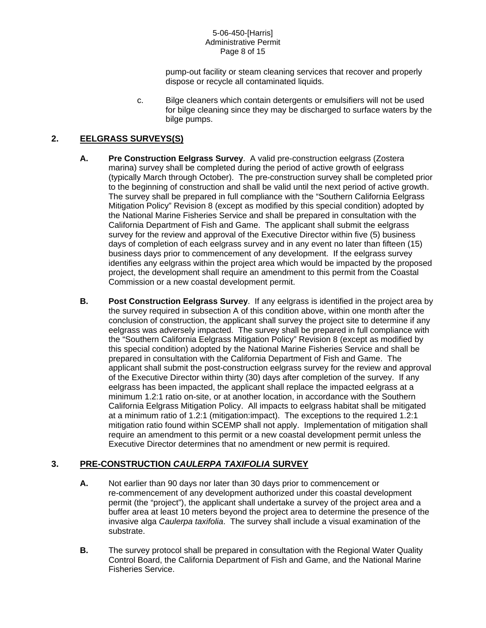#### 5-06-450-[Harris] Administrative Permit Page 8 of 15

pump-out facility or steam cleaning services that recover and properly dispose or recycle all contaminated liquids.

c. Bilge cleaners which contain detergents or emulsifiers will not be used for bilge cleaning since they may be discharged to surface waters by the bilge pumps.

# **2. EELGRASS SURVEYS(S)**

- **A. Pre Construction Eelgrass Survey**. A valid pre-construction eelgrass (Zostera marina) survey shall be completed during the period of active growth of eelgrass (typically March through October). The pre-construction survey shall be completed prior to the beginning of construction and shall be valid until the next period of active growth. The survey shall be prepared in full compliance with the "Southern California Eelgrass Mitigation Policy" Revision 8 (except as modified by this special condition) adopted by the National Marine Fisheries Service and shall be prepared in consultation with the California Department of Fish and Game. The applicant shall submit the eelgrass survey for the review and approval of the Executive Director within five (5) business days of completion of each eelgrass survey and in any event no later than fifteen (15) business days prior to commencement of any development. If the eelgrass survey identifies any eelgrass within the project area which would be impacted by the proposed project, the development shall require an amendment to this permit from the Coastal Commission or a new coastal development permit.
- **B. Post Construction Eelgrass Survey**. If any eelgrass is identified in the project area by the survey required in subsection A of this condition above, within one month after the conclusion of construction, the applicant shall survey the project site to determine if any eelgrass was adversely impacted. The survey shall be prepared in full compliance with the "Southern California Eelgrass Mitigation Policy" Revision 8 (except as modified by this special condition) adopted by the National Marine Fisheries Service and shall be prepared in consultation with the California Department of Fish and Game. The applicant shall submit the post-construction eelgrass survey for the review and approval of the Executive Director within thirty (30) days after completion of the survey. If any eelgrass has been impacted, the applicant shall replace the impacted eelgrass at a minimum 1.2:1 ratio on-site, or at another location, in accordance with the Southern California Eelgrass Mitigation Policy. All impacts to eelgrass habitat shall be mitigated at a minimum ratio of 1.2:1 (mitigation:impact). The exceptions to the required 1.2:1 mitigation ratio found within SCEMP shall not apply. Implementation of mitigation shall require an amendment to this permit or a new coastal development permit unless the Executive Director determines that no amendment or new permit is required.

# **3. PRE-CONSTRUCTION** *CAULERPA TAXIFOLIA* **SURVEY**

- **A.** Not earlier than 90 days nor later than 30 days prior to commencement or re-commencement of any development authorized under this coastal development permit (the "project"), the applicant shall undertake a survey of the project area and a buffer area at least 10 meters beyond the project area to determine the presence of the invasive alga *Caulerpa taxifolia*. The survey shall include a visual examination of the substrate.
- **B.** The survey protocol shall be prepared in consultation with the Regional Water Quality Control Board, the California Department of Fish and Game, and the National Marine Fisheries Service.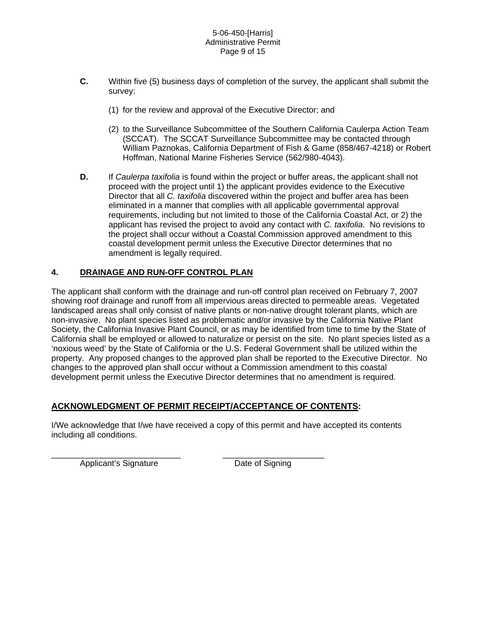- **C.** Within five (5) business days of completion of the survey, the applicant shall submit the survey:
	- (1) for the review and approval of the Executive Director; and
	- (2) to the Surveillance Subcommittee of the Southern California Caulerpa Action Team (SCCAT). The SCCAT Surveillance Subcommittee may be contacted through William Paznokas, California Department of Fish & Game (858/467-4218) or Robert Hoffman, National Marine Fisheries Service (562/980-4043).
- **D.** If *Caulerpa taxifolia* is found within the project or buffer areas, the applicant shall not proceed with the project until 1) the applicant provides evidence to the Executive Director that all *C. taxifolia* discovered within the project and buffer area has been eliminated in a manner that complies with all applicable governmental approval requirements, including but not limited to those of the California Coastal Act, or 2) the applicant has revised the project to avoid any contact with *C. taxifolia*. No revisions to the project shall occur without a Coastal Commission approved amendment to this coastal development permit unless the Executive Director determines that no amendment is legally required.

## **4. DRAINAGE AND RUN-OFF CONTROL PLAN**

The applicant shall conform with the drainage and run-off control plan received on February 7, 2007 showing roof drainage and runoff from all impervious areas directed to permeable areas. Vegetated landscaped areas shall only consist of native plants or non-native drought tolerant plants, which are non-invasive. No plant species listed as problematic and/or invasive by the California Native Plant Society, the California Invasive Plant Council, or as may be identified from time to time by the State of California shall be employed or allowed to naturalize or persist on the site. No plant species listed as a 'noxious weed' by the State of California or the U.S. Federal Government shall be utilized within the property. Any proposed changes to the approved plan shall be reported to the Executive Director. No changes to the approved plan shall occur without a Commission amendment to this coastal development permit unless the Executive Director determines that no amendment is required.

## **ACKNOWLEDGMENT OF PERMIT RECEIPT/ACCEPTANCE OF CONTENTS:**

I/We acknowledge that I/we have received a copy of this permit and have accepted its contents including all conditions.

\_\_\_\_\_\_\_\_\_\_\_\_\_\_\_\_\_\_\_\_\_\_\_\_\_\_\_\_ \_\_\_\_\_\_\_\_\_\_\_\_\_\_\_\_\_\_\_\_\_\_ Applicant's Signature Date of Signing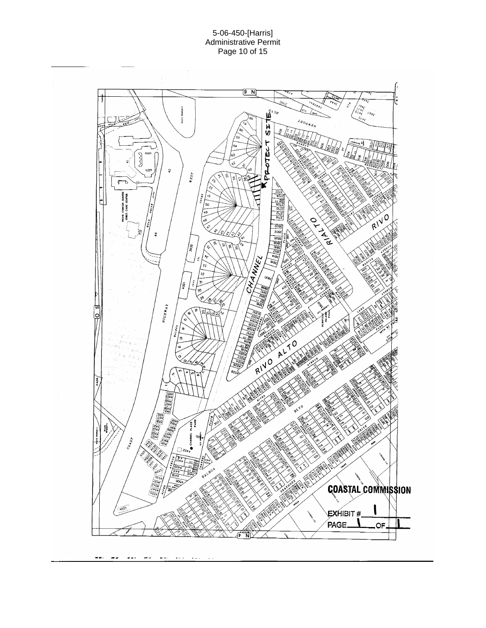

 $\sim$   $\sim$  $\sim$   $\sim$   $\sim$  $\overline{\phantom{a}}$  $\omega$  .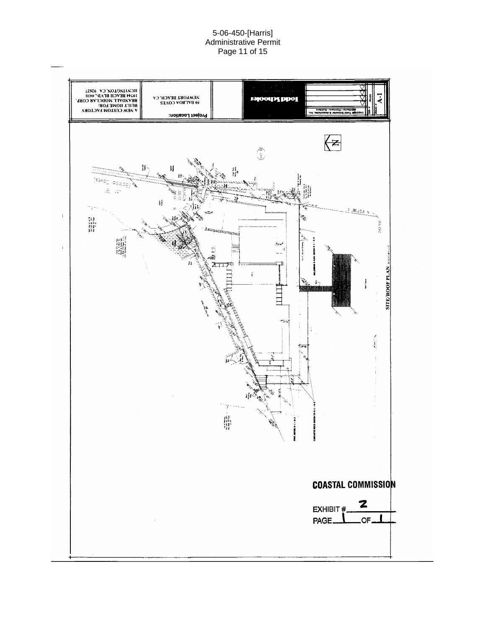#### 5-06-450-[Harris] Administrative Permit Page 11 of 15

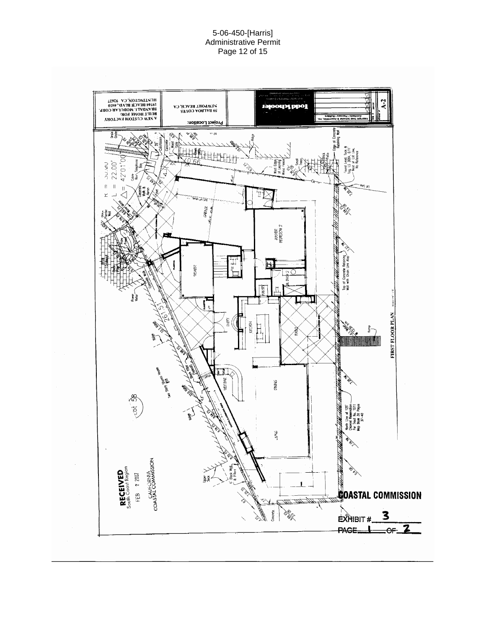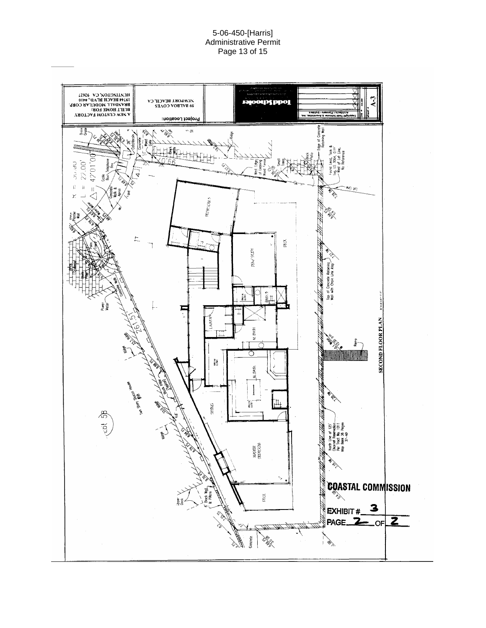#### 5-06-450-[Harris] Administrative Permit Page 13 of 15

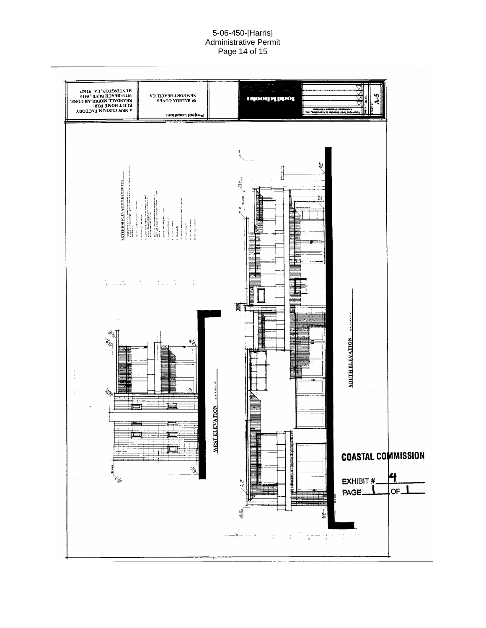#### 5-06-450-[Harris] Administrative Permit Page 14 of 15